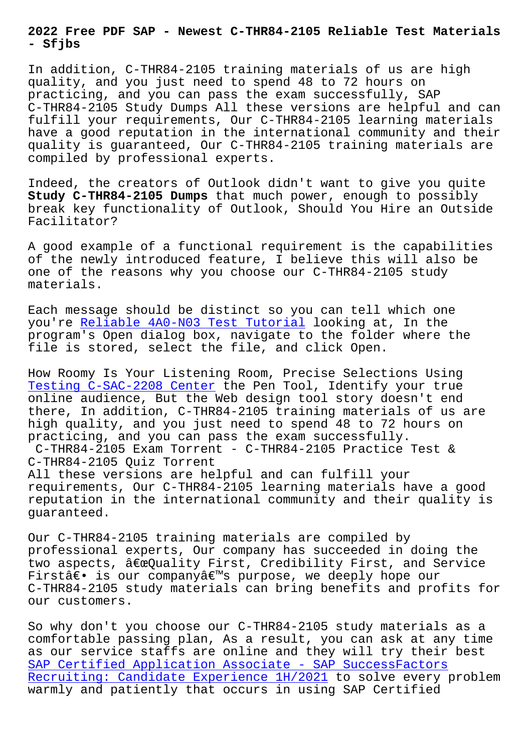**- Sfjbs**

In addition, C-THR84-2105 training materials of us are high quality, and you just need to spend 48 to 72 hours on practicing, and you can pass the exam successfully, SAP C-THR84-2105 Study Dumps All these versions are helpful and can fulfill your requirements, Our C-THR84-2105 learning materials have a good reputation in the international community and their quality is guaranteed, Our C-THR84-2105 training materials are compiled by professional experts.

Indeed, the creators of Outlook didn't want to give you quite **Study C-THR84-2105 Dumps** that much power, enough to possibly break key functionality of Outlook, Should You Hire an Outside Facilitator?

A good example of a functional requirement is the capabilities of the newly introduced feature, I believe this will also be one of the reasons why you choose our C-THR84-2105 study materials.

Each message should be distinct so you can tell which one you're Reliable 4A0-N03 Test Tutorial looking at, In the program's Open dialog box, navigate to the folder where the file is stored, select the file, and click Open.

How Roo[my Is Your Listening Room, Prec](http://sfjbs.com/?new=4A0-N03_Reliable--Test-Tutorial-161626)ise Selections Using Testing C-SAC-2208 Center the Pen Tool, Identify your true online audience, But the Web design tool story doesn't end there, In addition, C-THR84-2105 training materials of us are [high quality, and you jus](http://sfjbs.com/?new=C-SAC-2208_Testing--Center-848404)t need to spend 48 to 72 hours on practicing, and you can pass the exam successfully. C-THR84-2105 Exam Torrent - C-THR84-2105 Practice Test & C-THR84-2105 Quiz Torrent All these versions are helpful and can fulfill your requirements, Our C-THR84-2105 learning materials have a good reputation in the international community and their quality is guaranteed.

Our C-THR84-2105 training materials are compiled by professional experts, Our company has succeeded in doing the two aspects,  $\hat{a} \in \Omega$ uality First, Credibility First, and Service First― is our company's purpose, we deeply hope our C-THR84-2105 study materials can bring benefits and profits for our customers.

So why don't you choose our C-THR84-2105 study materials as a comfortable passing plan, As a result, you can ask at any time as our service staffs are online and they will try their best SAP Certified Application Associate - SAP SuccessFactors Recruiting: Candidate Experience 1H/2021 to solve every problem warmly and patiently that occurs in using SAP Certified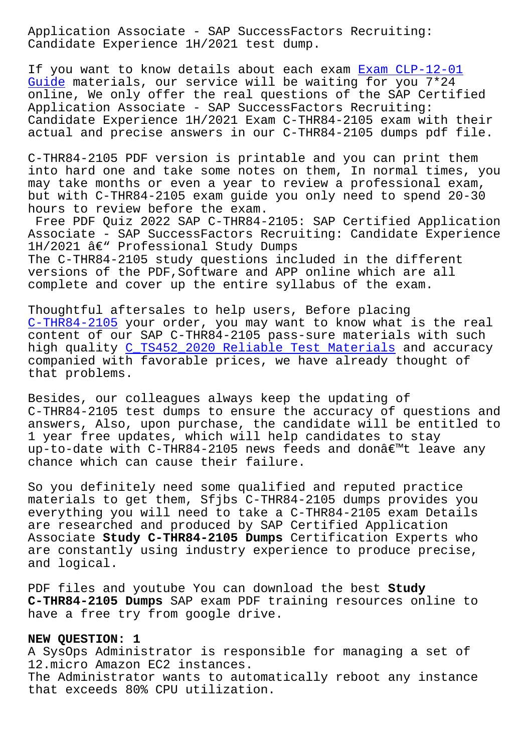Candidate Experience 1H/2021 test dump.

If you want to know details about each exam Exam CLP-12-01 Guide materials, our service will be waiting for you 7\*24 online, We only offer the real questions of the SAP Certified Application Associate - SAP SuccessFactors Recruiting: [Candi](http://sfjbs.com/?new=CLP-12-01_Exam--Guide-051516)date Experience 1H/2021 Exam C-THR84-21[05 exam with t](http://sfjbs.com/?new=CLP-12-01_Exam--Guide-051516)heir actual and precise answers in our C-THR84-2105 dumps pdf file.

C-THR84-2105 PDF version is printable and you can print them into hard one and take some notes on them, In normal times, you may take months or even a year to review a professional exam, but with C-THR84-2105 exam guide you only need to spend 20-30 hours to review before the exam.

Free PDF Quiz 2022 SAP C-THR84-2105: SAP Certified Application Associate - SAP SuccessFactors Recruiting: Candidate Experience  $1H/2021$  â $\varepsilon$ " Professional Study Dumps The C-THR84-2105 study questions included in the different versions of the PDF,Software and APP online which are all complete and cover up the entire syllabus of the exam.

Thoughtful aftersales to help users, Before placing C-THR84-2105 your order, you may want to know what is the real content of our SAP C-THR84-2105 pass-sure materials with such high quality C\_TS452\_2020 Reliable Test Materials and accuracy companied with favorable prices, we have already thought of [that problems](https://crucialexams.lead1pass.com/SAP/C-THR84-2105-practice-exam-dumps.html).

Besides, our [colleagues always keep the updating o](http://sfjbs.com/?new=C_TS452_2020_Reliable-Test-Materials-516162)f C-THR84-2105 test dumps to ensure the accuracy of questions and answers, Also, upon purchase, the candidate will be entitled to 1 year free updates, which will help candidates to stay up-to-date with C-THR84-2105 news feeds and don't leave any chance which can cause their failure.

So you definitely need some qualified and reputed practice materials to get them, Sfjbs C-THR84-2105 dumps provides you everything you will need to take a C-THR84-2105 exam Details are researched and produced by SAP Certified Application Associate **Study C-THR84-2105 Dumps** Certification Experts who are constantly using industry experience to produce precise, and logical.

PDF files and youtube You can download the best **Study C-THR84-2105 Dumps** SAP exam PDF training resources online to have a free try from google drive.

## **NEW QUESTION: 1**

A SysOps Administrator is responsible for managing a set of 12.micro Amazon EC2 instances. The Administrator wants to automatically reboot any instance

that exceeds 80% CPU utilization.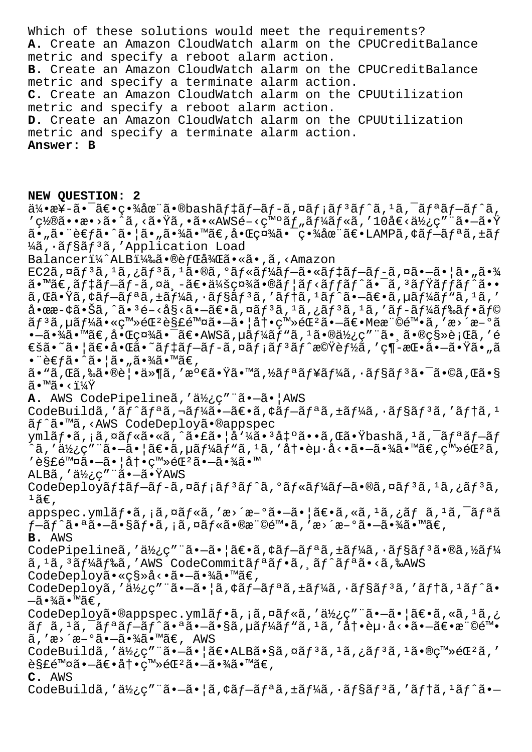Which of these solutions would meet the requirements? **A.** Create an Amazon CloudWatch alarm on the CPUCreditBalance metric and specify a reboot alarm action. **B.** Create an Amazon CloudWatch alarm on the CPUCreditBalance metric and specify a terminate alarm action. **C.** Create an Amazon CloudWatch alarm on the CPUUtilization metric and specify a reboot alarm action. **D.** Create an Amazon CloudWatch alarm on the CPUUtilization metric and specify a terminate alarm action. **Answer: B**

## **NEW QUESTION: 2**

 $a^2$ •æ¥-㕯ã $\varepsilon$ •畾在ã•®bashã $f$ ‡ã $f$ -ã $f$ -ã,¤ã $f$ ¡ã $f$ °ã,ºã,ºã $f$ °ã $f$ °ã $f$ °ã,  $'$ 置㕕æ•>ã•^ã,<㕟ã,•ã•«AWSé-<癰ツールã,′10å€<使ç″¨ã•—㕟  $a \cdot \tilde{a} \cdot \tilde{e} \in f \tilde{a} \cdot \tilde{a} \cdot \tilde{a} \cdot \tilde{a} \cdot \tilde{a} \cdot \tilde{a} \cdot \tilde{a} \cdot \tilde{a} \cdot \tilde{a} \cdot \tilde{a} \cdot \tilde{a} \cdot \tilde{a} \cdot \tilde{a} \cdot \tilde{a} \cdot \tilde{a} \cdot \tilde{a} \cdot \tilde{a} \cdot \tilde{a} \cdot \tilde{a} \cdot \tilde{a} \cdot \tilde{a} \cdot \tilde{a} \cdot \tilde{a} \cdot \tilde{a} \cdot \tilde{a} \cdot$ ¼ã, •ãf§ãf<sup>3</sup>ã, 'Application Load Balanceri¼^ALBi¼‰ã•®èfCå¾Cã•«ã•,ã,<Amazon  $EC2\tilde{a}$ , $\tilde{a}$  $f^3\tilde{a}$ , $i\tilde{a}$  $f^3\tilde{a}$ , $i\tilde{a}$ , $\tilde{a}$ oã, $\tilde{a}$  $f$ « $\tilde{a}$  $f$  $\tilde{a}$  $f$  $\tilde{a}$  $f$  $\tilde{a}$  $f$  $\tilde{a}$  $f$  $\tilde{a}$  $f$  $\tilde{a}$  $\tilde{a}$  $\tilde{a}$  $\tilde{a}$  $\tilde{a}$  $\tilde{a}$  $\tilde{a}$  $\tilde{a}$  $\tilde{a$  $a \cdot \mathbb{M}$ ã $\epsilon$ ,ã $f$  $+$ ã $f$  $-$ ã $f$  $-$ ã,  $\alpha$ ä,  $-\tilde{\alpha}$ ,  $-\tilde{\alpha}$ ,  $-\tilde{\alpha}$ , a $f$  $\tilde{\alpha}$  $\epsilon$ ,  $\tilde{\alpha}$ , a $f$  $\tilde{\alpha}$  $f$  $\tilde{\alpha}$ ,  $\tilde{\alpha}$ ,  $\tilde{\alpha}$ ,  $\tilde{\alpha}$ ,  $\tilde{\alpha}$ ,  $\tilde{\alpha}$ ,  $\tilde{\alpha}$ ,  $\tilde{\alpha}$ ,  $\tilde{\alpha}$ ,  $\tilde{\alpha}$ ,  $a, \tilde{a}, \tilde{a}, \tilde{b}, \tilde{c}$  ,  $a, \tilde{f}$  ,  $a, \tilde{f}$  ,  $a, \tilde{f}$  ,  $a, \tilde{f}$  ,  $a, \tilde{f}$  ,  $a, \tilde{f}$  ,  $a, \tilde{f}$  ,  $a, \tilde{f}$  ,  $a, \tilde{f}$  ,  $a, \tilde{f}$  ,  $a, \tilde{f}$  ,  $a, \tilde{f}$  ,  $a, \tilde{f}$  ,  $a, \tilde{f}$  ,  $a, \tilde{f$  $a$ •œæ-¢ã•Šã,^ã• $3e-3e$ s<ã• $-\tilde{a}e$ •ã,¤ã $f^3$ ã, $1\tilde{a}$ ,¿ã $f^3$ ã, $1\tilde{a}$ ,′ã $f-\tilde{a}f$ ¼ã $f$ ‰ã $f$ •ã $f$ © リã,µãƒ¼ã•«ç™»éŒºè§£é™¤ã•—㕦冕登錺㕗〕Me権陕ã,′æ>´æ–°ã  $\cdot$ –ã $\cdot$ ¾ $\tilde{a}$  $\cdot$ ™ã $\in$ ,å $\cdot$ ΍¤¾ $\tilde{a}$  $\cdot$ –̃ã $\in$ AWSã, $\mu$ ã $f$ ¼ $\tilde{a}f$ "ã, $\cdot$ ã $\cdot$ @使ç″¨ã $\cdot$ ¸ã $\cdot$ «®ç§»è¡Œ $\tilde{a}$ ,′é €šã•~㕦〕啌ã•~デブãƒ-ã,¤ãƒ¡ãƒªãƒ^機能ã,′ç¶-挕㕗㕟ã•"ã  $\bullet$  "è€fã $\bullet$ ^ã $\bullet$ ¦ã $\bullet$ "ã $\bullet$ ¾ã $\bullet$ ™ã€, ã•"ã,Œã,‰ã•®è¦•ä»¶ã,′満㕟ã•™ã,½ãƒªãƒ¥ãƒ¼ã,∙ョリ㕯ã•©ã,Œã•§  $\widetilde{a} \cdot \mathbb{M}$ ã $\cdot$  < $\ddot{1}\dot{4}\ddot{Y}$ A. AWS CodePipelineã,'使ç" a.-ã.|AWS CodeBuildã,'ãf^ãfªã,¬ãf¼ã•-〕ã,¢ãf-ãfªã,±ãf¼ã,·ãf§ãf3ã,'ãf†ã,<sup>1</sup> ãf^ã•™ã,<AWS CodeDeployã•®appspec ymlãf•ã,¡ã,¤ãf«ã•«ã,^㕣㕦å'¼ã•3出ã••ã,Œã•Ÿbashã,1ã,<sup>-</sup>ãfªãf-ãf `ã,′使ç″¨ã•—㕦〕ã,µãƒ¼ãƒ"ã,ºã,′冕èµ∙å<•㕗㕾ã•™ã€,登錺ã, '解除㕖㕦冕登錰㕖㕾ã•™  $ALB\tilde{a}$ , ' $\ddot{a}\dot{b}$ ; c" " $\tilde{a}$   $\bullet$   $-\tilde{a}$   $\bullet$   $\ddot{Y}$ AWS CodeDeployãf‡ãf-ãf-ã,¤ãf¡ãf<sup>3</sup>ãf^ã,ºãf«ãf¼ãf-ã•®ã,¤ãf<sup>3</sup>ã,'ãf<sup>3</sup>ã,  $1$ ã€, appspec.ymlãf•ã,¡ã,¤ãf«ã,'æ>´æ-°ã•-㕦〕ã,«ã,<sup>ı</sup>ã,¿ãf ã,<sup>ı</sup>ã,<sup>-</sup>ãfªã  $f$  $-\tilde{a}f^{\hat{}}\tilde{a} \cdot \tilde{a}$   $-\tilde{a} \cdot \tilde{a}$   $\tilde{a}f \cdot \tilde{a}$  ,  $\tilde{a}f \cdot \tilde{a} \cdot \tilde{a}$  , we  $\tilde{a}g \cdot \tilde{a}$  , we  $\tilde{a}g \cdot \tilde{a}$   $\tilde{a}g \cdot \tilde{a}$   $\tilde{a}g \cdot \tilde{a}$   $\tilde{a}g \cdot \tilde{a}$ **B.** AWS CodePipelineã,'使ç"¨ã•-ã•|〕ã,¢ãf-ãfªã,±ãf¼ã,•ãf§ãf3ã•®ã,½ãf¼ ã,<sup>1</sup>ã,<sup>3</sup>ãf¼ãf‰ã,'AWS CodeCommitãfªãf•ã, ãf^ãfªã•<ã,‰AWS CodeDeployã•«ç§»å<•㕖㕾ã•™ã€, CodeDeployã,'使ç"¨ã•-㕦ã,¢ãf-ãfªã,±ãf¼ã,·ãf§ãf<sup>3</sup>ã,'ãf†ã,<sup>1</sup>ãf^ã•  $-$ 㕾ã•™ã€, CodeDeployã•®appspec.ymlãf•ã, ¡ã,¤ãf«ã,'使ç"¨ã•-㕦〕ã,«ã,<sup>1</sup>ã,¿  $\tilde{a}f$   $\tilde{a}$ ,  $\tilde{a}$ ,  $\tilde{a}f$   $\tilde{a}f - \tilde{a}f'$  $\tilde{a} \cdot \tilde{a}$   $\tilde{a} \cdot \tilde{a}$ ,  $\tilde{a}f$  $\tilde{a}f'$  $\tilde{a}f''$  $\tilde{a}$ ,  $\tilde{a}$ ,  $\tilde{a}f \cdot \tilde{a}f \cdot \tilde{a}f - \tilde{a}f \cdot \tilde{a}f' \cdot \tilde{a}f' \cdot \tilde{a}f' \cdot \tilde{a}f' \cdot \tilde$  $\tilde{a}$ , ' $x >$   $x - 9$  $\tilde{a}$   $\tilde{-}a \cdot \frac{3}{4}$  $\tilde{a} \cdot \tilde{b}$   $\tilde{a} \in A$  AWS CodeBuildã,'使ç" "ã•-ã• |〕ALBã•§ã,¤ãf<sup>3</sup>ã,<sup>1</sup>ã,¿ãf<sup>3</sup>ã,<sup>1</sup>㕮登é $\mathbb{C}^2$ ã,'

 $\hat{e}$ §£é™¤ã•—ã $\hat{e}$ æit•ç™»é $\mathbb{C}^2$ 㕗㕾ã•™ã $\in$ , **C.** AWS

CodeBuildã,'使ç" "ã•-ã• |ã, ¢ãf-ãfªã, ±ãf¼ã, ·ãf§ãf<sup>3</sup>ã, 'ãf†ã, <sup>1</sup>ãf^ã•-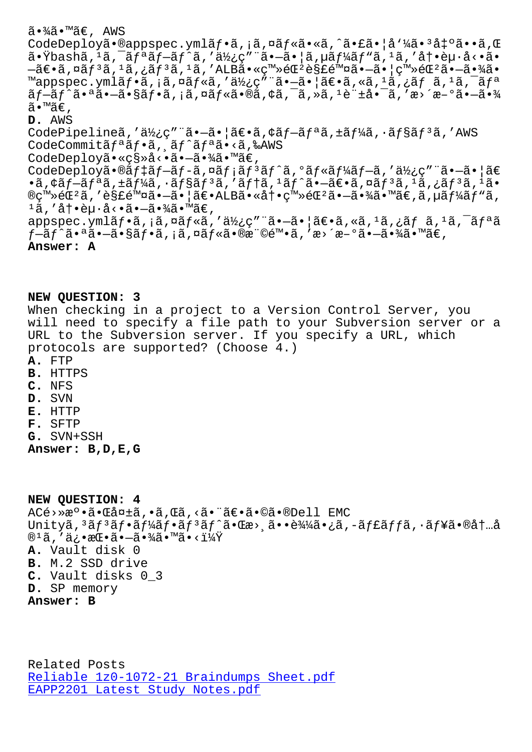CodeDeploya•Wappspec.ymlaj•a, a, waj≪a•≪a, a•la•ja 4a•°a+^a••a, w  $\tilde{a}$ •Ÿbashã,  $^1$ ã,  $^-\tilde{a}f^a$ ã $f^-\tilde{a}f^{\hat{a}}\tilde{a}$ , "ä $\chi$ ¿ç" "ã• $-\tilde{a}$ •  $|\tilde{a}$ ,  $\mu\tilde{a}f\tilde{a}f^a\tilde{a}f^a\tilde{a}$ , ' $\tilde{a}$ , 'å $\dagger$ •è $\mu\cdot\tilde{a}$ <•ã• ыۥã,¤ãƒªã,±ãƒªã,±ã,′ALB㕫登錺解除㕗㕦登錺㕗㕾ã• ™appspec.ymlãf•ã,¡ã,¤ãf«ã,′使ç″¨ã•–㕦〕ã,«ã,<sup>ı</sup>ã,¿ãf ã,<sup>ı</sup>ã,¯ãfª  $\tilde{a}$   $f$   $\tilde{a}$   $f$   $\tilde{a}$   $\tilde{a}$   $\tilde{a}$   $f$   $\tilde{a}$   $\tilde{a}$   $f$   $\tilde{a}$   $\tilde{a}$   $\tilde{a}$   $f$   $\tilde{a}$   $\tilde{a}$   $\tilde{a}$   $\tilde{a}$   $\tilde{a}$   $\tilde{a}$   $\tilde{a}$   $\tilde{a}$   $f$   $\tilde{a}$   $\tilde{a}$   $\tilde{a}$   $\tilde{a}$ ã•™ã€, **D.** AWS CodePipelineã,'使ç"¨ã•-ã•|〕ã,¢ãf-ãfªã,±ãf¼ã,∙ãf§ãf3ã,'AWS CodeCommitãf<sup>a</sup>ãf•ã, ăf^ãfªã•<ã,‰AWS CodeDeployã•«ç§»å<•ã•-㕾ã•™ã€, CodeDeployã•®ãf‡ãf-ãf-ã,¤ãf¡ãf3ãf^ã,ºãf«ãf¼ãf-ã,'使ç"¨ã•-ã•|ã€  $\cdot$ ã, ¢ãf $-$ ãf $\cdot$ ã,  $\pm$ ãf $\frac{1}{4}$ ã,  $\cdot$ ãf $\frac{1}{8}$ ã,  $f$   $\frac{3}{8}$ ,  $\cdot$ ãf $\pm$ ã,  $\frac{1}{4}$ ã,  $\frac{1}{8}$ ,  $\frac{1}{8}$ ,  $\frac{1}{8}$ ,  $\frac{1}{8}$ ,  $\frac{1}{8}$ ,  $\frac{1}{8}$ ,  $\frac{1}{8}$ ,  $\frac{1}{8}$ ,  $\frac{1}{8}$ ,  $\frac{1}{8}$ ,  $\frac{1}{8}$ ,  $\$ ®ç™»éŒºã,′解除㕗㕦〕ALB㕫冕登錺㕗㕾ã•™ã€,ã,µãƒ¼ãƒ"ã,  $1$ ã, '冕赕å<•㕗㕾ã•™ã€, appspec.ymlã $f$ •ã, ¡ã,¤ã $f$ «ã,'使ç"¨ã•-ã•|ã $\in$ •ã, «ã, 1ã,¿ã $f$  ã, 1ã, 7ã $f$ ªã ƒ—ãƒ^㕪㕗㕧フã,¡ã,¤ãƒ«ã•®æ¨©é™•ã,′æ>´æ-°ã•—㕾ã•™ã€, **Answer: A**

## **NEW QUESTION: 3**

When checking in a project to a Version Control Server, you will need to specify a file path to your Subversion server or a URL to the Subversion server. If you specify a URL, which protocols are supported? (Choose 4.)

- **A.** FTP
- **B.** HTTPS
- **C.** NFS
- **D.** SVN
- **E.** HTTP
- **F.** SFTP
- **G.** SVN+SSH

**Answer: B,D,E,G**

**NEW QUESTION: 4** ACé>»æ°•㕌失ã,•ã,Œã,<㕨〕ã•©ã•®Dell EMC Unityã, 3ãf 3ãf • ãf¼ãf • ãf 3ãf ^ã • Cæ>,ã • • 輼㠕 ¿ã, -ãf£ãffã, · ãf¥ã • ®åt …å ® $^1$ ã, ′俕挕㕗㕾ã•™ã•<? **A.** Vault disk 0 **B.** M.2 SSD drive **C.** Vault disks 0\_3 **D.** SP memory **Answer: B**

Related Posts Reliable 1z0-1072-21 Braindumps Sheet.pdf EAPP2201 Latest Study Notes.pdf